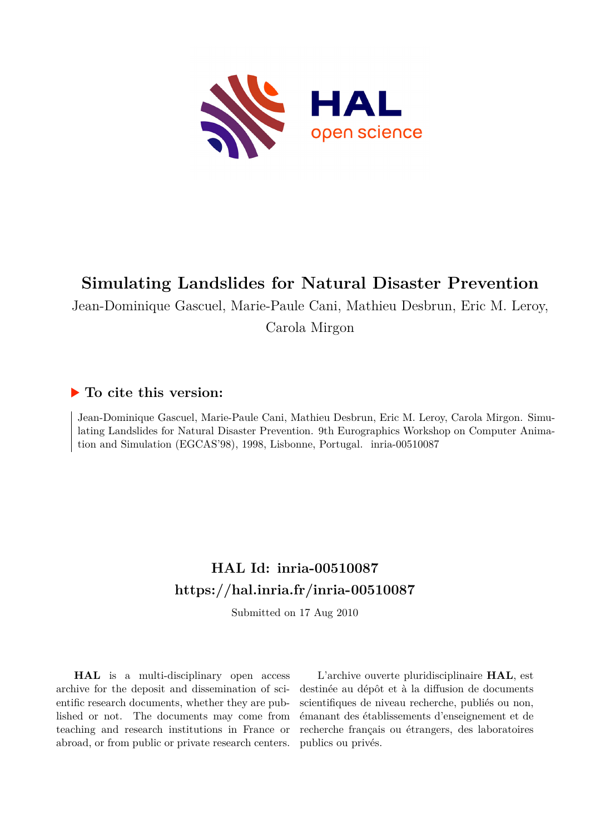

# **Simulating Landslides for Natural Disaster Prevention**

Jean-Dominique Gascuel, Marie-Paule Cani, Mathieu Desbrun, Eric M. Leroy,

Carola Mirgon

# **To cite this version:**

Jean-Dominique Gascuel, Marie-Paule Cani, Mathieu Desbrun, Eric M. Leroy, Carola Mirgon. Simulating Landslides for Natural Disaster Prevention. 9th Eurographics Workshop on Computer Animation and Simulation (EGCAS'98), 1998, Lisbonne, Portugal. inria-00510087

# **HAL Id: inria-00510087 <https://hal.inria.fr/inria-00510087>**

Submitted on 17 Aug 2010

**HAL** is a multi-disciplinary open access archive for the deposit and dissemination of scientific research documents, whether they are published or not. The documents may come from teaching and research institutions in France or abroad, or from public or private research centers.

L'archive ouverte pluridisciplinaire **HAL**, est destinée au dépôt et à la diffusion de documents scientifiques de niveau recherche, publiés ou non, émanant des établissements d'enseignement et de recherche français ou étrangers, des laboratoires publics ou privés.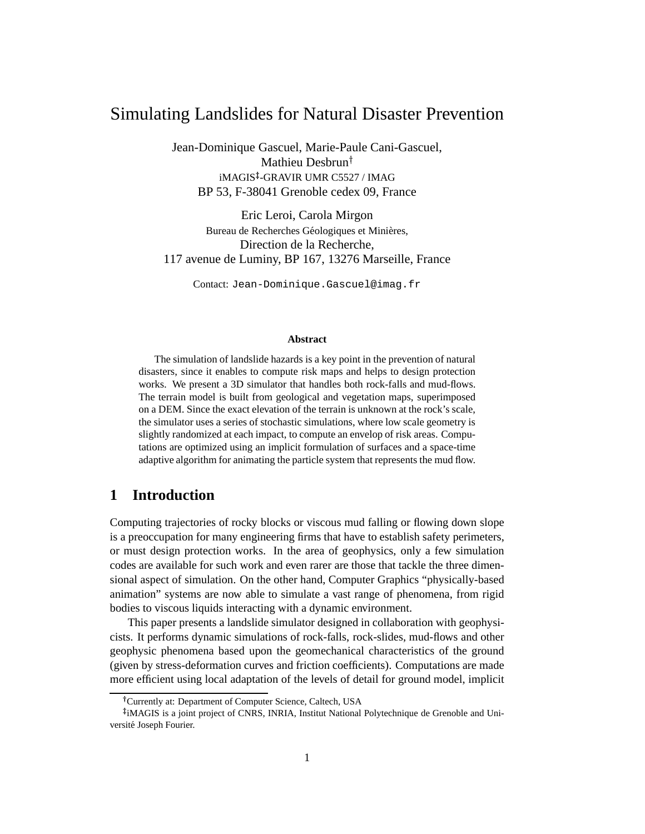# Simulating Landslides for Natural Disaster Prevention

Jean-Dominique Gascuel, Marie-Paule Cani-Gascuel, Mathieu Desbrun<sup>†</sup> iMAGIS<sup>‡</sup>-GRAVIR UMR C5527 / IMAG BP 53, F-38041 Grenoble cedex 09, France

Eric Leroi, Carola Mirgon Bureau de Recherches Géologiques et Minières, Direction de la Recherche, 117 avenue de Luminy, BP 167, 13276 Marseille, France

Contact: Jean-Dominique.Gascuel@imag.fr

#### **Abstract**

The simulation of landslide hazards is a key point in the prevention of natural disasters, since it enables to compute risk maps and helps to design protection works. We present a 3D simulator that handles both rock-falls and mud-flows. The terrain model is built from geological and vegetation maps, superimposed on a DEM. Since the exact elevation of the terrain is unknown at the rock's scale, the simulator uses a series of stochastic simulations, where low scale geometry is slightly randomized at each impact, to compute an envelop of risk areas. Computations are optimized using an implicit formulation of surfaces and a space-time adaptive algorithm for animating the particle system that represents the mud flow.

# **1 Introduction**

Computing trajectories of rocky blocks or viscous mud falling or flowing down slope is a preoccupation for many engineering firms that have to establish safety perimeters, or must design protection works. In the area of geophysics, only a few simulation codes are available for such work and even rarer are those that tackle the three dimensional aspect of simulation. On the other hand, Computer Graphics "physically-based animation" systems are now able to simulate a vast range of phenomena, from rigid bodies to viscous liquids interacting with a dynamic environment.

This paper presents a landslide simulator designed in collaboration with geophysicists. It performs dynamic simulations of rock-falls, rock-slides, mud-flows and other geophysic phenomena based upon the geomechanical characteristics of the ground (given by stress-deformation curves and friction coefficients). Computations are made more efficient using local adaptation of the levels of detail for ground model, implicit

Currently at: Department of Computer Science, Caltech, USA

<sup>&</sup>lt;sup>‡</sup>iMAGIS is a joint project of CNRS, INRIA, Institut National Polytechnique de Grenoble and Université Joseph Fourier.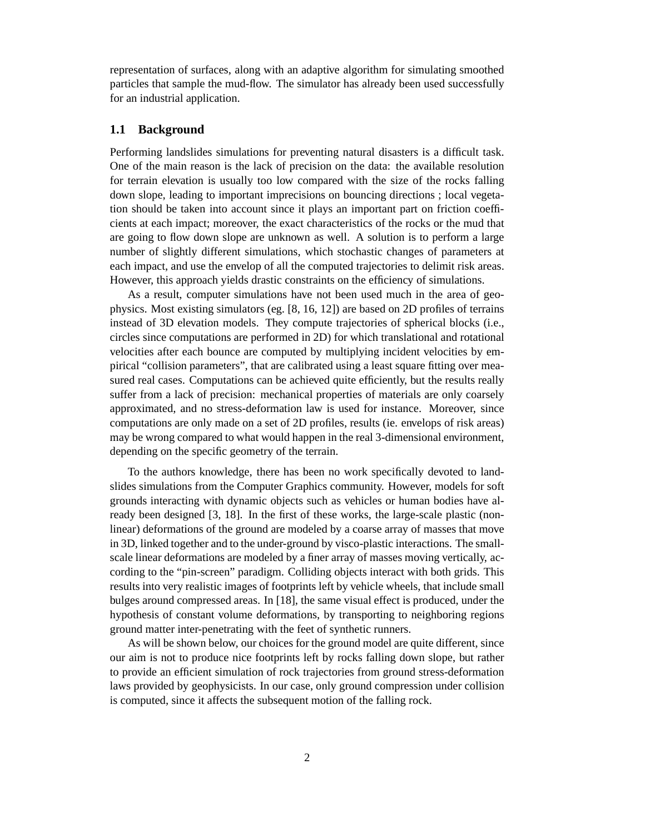representation of surfaces, along with an adaptive algorithm for simulating smoothed particles that sample the mud-flow. The simulator has already been used successfully for an industrial application.

#### **1.1 Background**

Performing landslides simulations for preventing natural disasters is a difficult task. One of the main reason is the lack of precision on the data: the available resolution for terrain elevation is usually too low compared with the size of the rocks falling down slope, leading to important imprecisions on bouncing directions ; local vegetation should be taken into account since it plays an important part on friction coefficients at each impact; moreover, the exact characteristics of the rocks or the mud that are going to flow down slope are unknown as well. A solution is to perform a large number of slightly different simulations, which stochastic changes of parameters at each impact, and use the envelop of all the computed trajectories to delimit risk areas. However, this approach yields drastic constraints on the efficiency of simulations.

As a result, computer simulations have not been used much in the area of geophysics. Most existing simulators (eg. [8, 16, 12]) are based on 2D profiles of terrains instead of 3D elevation models. They compute trajectories of spherical blocks (i.e., circles since computations are performed in 2D) for which translational and rotational velocities after each bounce are computed by multiplying incident velocities by empirical "collision parameters", that are calibrated using a least square fitting over measured real cases. Computations can be achieved quite efficiently, but the results really suffer from a lack of precision: mechanical properties of materials are only coarsely approximated, and no stress-deformation law is used for instance. Moreover, since computations are only made on a set of 2D profiles, results (ie. envelops of risk areas) may be wrong compared to what would happen in the real 3-dimensional environment, depending on the specific geometry of the terrain.

To the authors knowledge, there has been no work specifically devoted to landslides simulations from the Computer Graphics community. However, models for soft grounds interacting with dynamic objects such as vehicles or human bodies have already been designed [3, 18]. In the first of these works, the large-scale plastic (nonlinear) deformations of the ground are modeled by a coarse array of masses that move in 3D, linked together and to the under-ground by visco-plastic interactions. The smallscale linear deformations are modeled by a finer array of masses moving vertically, according to the "pin-screen" paradigm. Colliding objects interact with both grids. This results into very realistic images of footprints left by vehicle wheels, that include small bulges around compressed areas. In [18], the same visual effect is produced, under the hypothesis of constant volume deformations, by transporting to neighboring regions ground matter inter-penetrating with the feet of synthetic runners.

As will be shown below, our choices for the ground model are quite different, since our aim is not to produce nice footprints left by rocks falling down slope, but rather to provide an efficient simulation of rock trajectories from ground stress-deformation laws provided by geophysicists. In our case, only ground compression under collision is computed, since it affects the subsequent motion of the falling rock.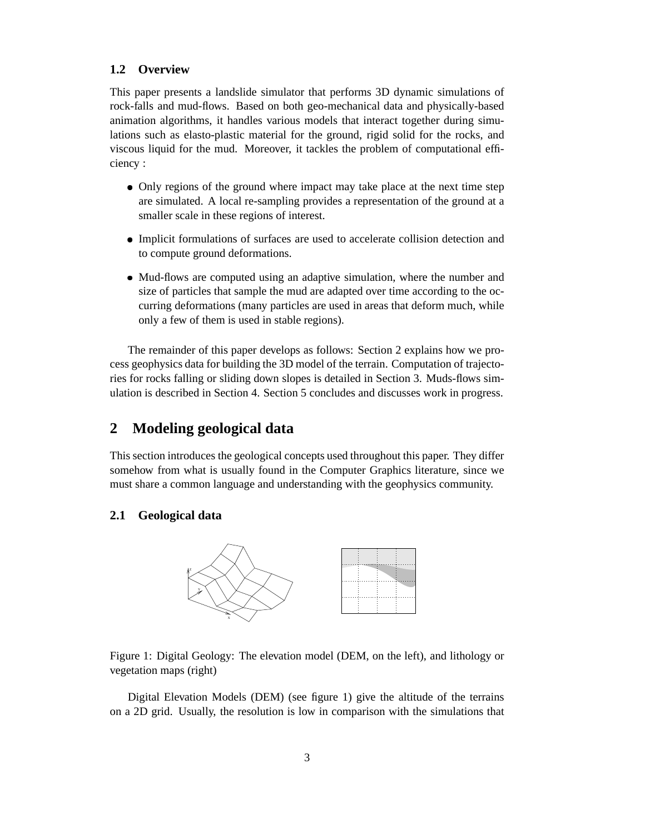## **1.2 Overview**

This paper presents a landslide simulator that performs 3D dynamic simulations of rock-falls and mud-flows. Based on both geo-mechanical data and physically-based animation algorithms, it handles various models that interact together during simulations such as elasto-plastic material for the ground, rigid solid for the rocks, and viscous liquid for the mud. Moreover, it tackles the problem of computational efficiency :

- Only regions of the ground where impact may take place at the next time step are simulated. A local re-sampling provides a representation of the ground at a smaller scale in these regions of interest.
- Implicit formulations of surfaces are used to accelerate collision detection and to compute ground deformations.
- Mud-flows are computed using an adaptive simulation, where the number and size of particles that sample the mud are adapted over time according to the occurring deformations (many particles are used in areas that deform much, while only a few of them is used in stable regions).

The remainder of this paper develops as follows: Section 2 explains how we process geophysics data for building the 3D model of the terrain. Computation of trajectories for rocks falling or sliding down slopes is detailed in Section 3. Muds-flows simulation is described in Section 4. Section 5 concludes and discusses work in progress.

# **2 Modeling geological data**

This section introduces the geological concepts used throughout this paper. They differ somehow from what is usually found in the Computer Graphics literature, since we must share a common language and understanding with the geophysics community.

## **2.1 Geological data**



Figure 1: Digital Geology: The elevation model (DEM, on the left), and lithology or vegetation maps (right)

Digital Elevation Models (DEM) (see figure 1) give the altitude of the terrains on a 2D grid. Usually, the resolution is low in comparison with the simulations that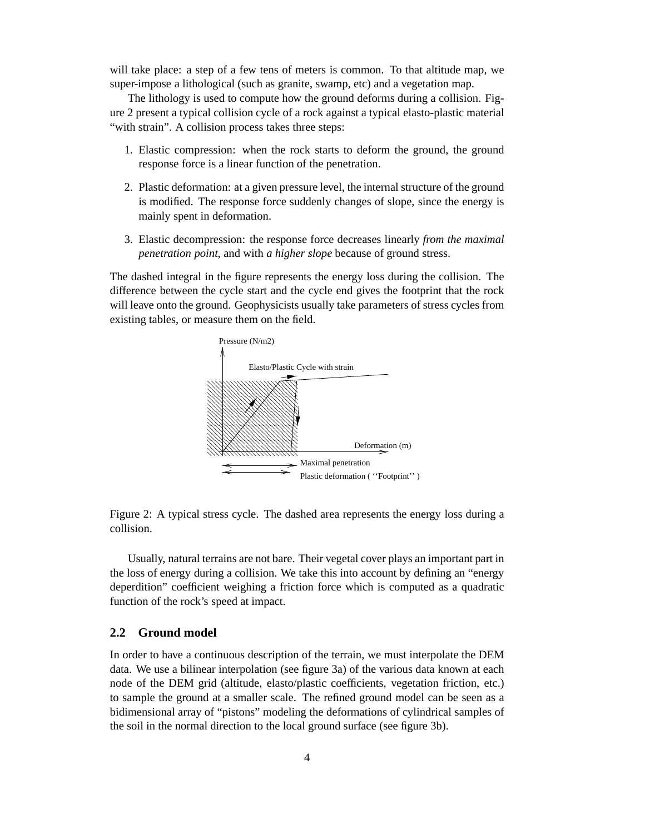will take place: a step of a few tens of meters is common. To that altitude map, we super-impose a lithological (such as granite, swamp, etc) and a vegetation map.

The lithology is used to compute how the ground deforms during a collision. Figure 2 present a typical collision cycle of a rock against a typical elasto-plastic material "with strain". A collision process takes three steps:

- 1. Elastic compression: when the rock starts to deform the ground, the ground response force is a linear function of the penetration.
- 2. Plastic deformation: at a given pressure level, the internal structure of the ground is modified. The response force suddenly changes of slope, since the energy is mainly spent in deformation.
- 3. Elastic decompression: the response force decreases linearly *from the maximal penetration point*, and with *a higher slope* because of ground stress.

The dashed integral in the figure represents the energy loss during the collision. The difference between the cycle start and the cycle end gives the footprint that the rock will leave onto the ground. Geophysicists usually take parameters of stress cycles from existing tables, or measure them on the field.





Usually, natural terrains are not bare. Their vegetal cover plays an important part in the loss of energy during a collision. We take this into account by defining an "energy deperdition" coefficient weighing a friction force which is computed as a quadratic function of the rock's speed at impact.

### **2.2 Ground model**

In order to have a continuous description of the terrain, we must interpolate the DEM data. We use a bilinear interpolation (see figure 3a) of the various data known at each node of the DEM grid (altitude, elasto/plastic coefficients, vegetation friction, etc.) to sample the ground at a smaller scale. The refined ground model can be seen as a bidimensional array of "pistons" modeling the deformations of cylindrical samples of the soil in the normal direction to the local ground surface (see figure 3b).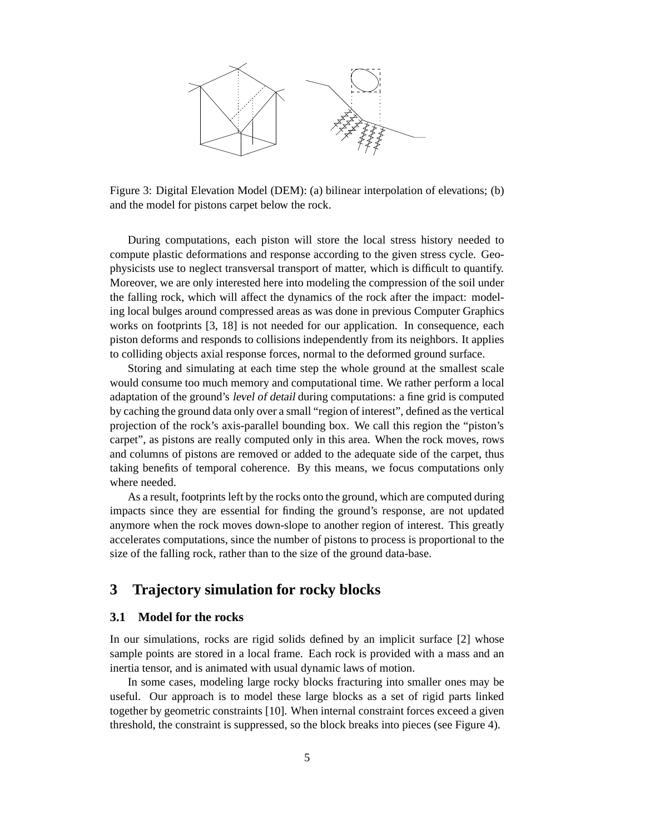

Figure 3: Digital Elevation Model (DEM): (a) bilinear interpolation of elevations; (b) and the model for pistons carpet below the rock.

During computations, each piston will store the local stress history needed to compute plastic deformations and response according to the given stress cycle. Geophysicists use to neglect transversal transport of matter, which is difficult to quantify. Moreover, we are only interested here into modeling the compression of the soil under the falling rock, which will affect the dynamics of the rock after the impact: modeling local bulges around compressed areas as was done in previous Computer Graphics works on footprints [3, 18] is not needed for our application. In consequence, each piston deforms and responds to collisions independently from its neighbors. It applies to colliding objects axial response forces, normal to the deformed ground surface.

Storing and simulating at each time step the whole ground at the smallest scale would consume too much memory and computational time. We rather perform a local adaptation of the ground's level of detail during computations: a fine grid is computed by caching the ground data only over a small "region of interest", defined as the vertical projection of the rock's axis-parallel bounding box. We call this region the "piston's carpet", as pistons are really computed only in this area. When the rock moves, rows and columns of pistons are removed or added to the adequate side of the carpet, thus taking benefits of temporal coherence. By this means, we focus computations only where needed.

As a result, footprints left by the rocks onto the ground, which are computed during impacts since they are essential for finding the ground's response, are not updated anymore when the rock moves down-slope to another region of interest. This greatly accelerates computations, since the number of pistons to process is proportional to the size of the falling rock, rather than to the size of the ground data-base.

## **3 Trajectory simulation for rocky blocks**

#### **3.1 Model for the rocks**

In our simulations, rocks are rigid solids defined by an implicit surface [2] whose sample points are stored in a local frame. Each rock is provided with a mass and an inertia tensor, and is animated with usual dynamic laws of motion.

In some cases, modeling large rocky blocks fracturing into smaller ones may be useful. Our approach is to model these large blocks as a set of rigid parts linked together by geometric constraints [10]. When internal constraint forces exceed a given threshold, the constraint is suppressed, so the block breaks into pieces (see Figure 4).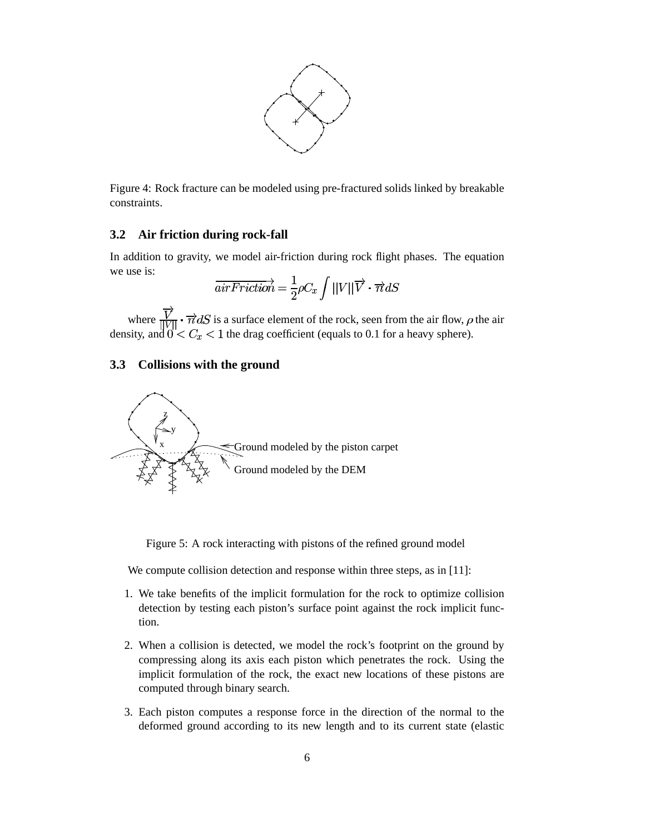

Figure 4: Rock fracture can be modeled using pre-fractured solids linked by breakable constraints.

## **3.2 Air friction during rock-fall**

In addition to gravity, we model air-friction during rock flight phases. The equation we use is:

$$
\overrightarrow{airFriterion} = \frac{1}{2}\rho C_x \int ||V|| \overrightarrow{V} \cdot \overrightarrow{\pi} dS
$$

where  $\frac{V}{\|V\|} \cdot \overrightarrow{r} dS$  is a surface element of the rock, seen from the air flow,  $\rho$  the air density, and  $0 < C_x < 1$  the drag coefficient (equals to 0.1 for a heavy sphere).

## **3.3 Collisions with the ground**



Figure 5: A rock interacting with pistons of the refined ground model

We compute collision detection and response within three steps, as in [11]:

- 1. We take benefits of the implicit formulation for the rock to optimize collision detection by testing each piston's surface point against the rock implicit function.
- 2. When a collision is detected, we model the rock's footprint on the ground by compressing along its axis each piston which penetrates the rock. Using the implicit formulation of the rock, the exact new locations of these pistons are computed through binary search.
- 3. Each piston computes a response force in the direction of the normal to the deformed ground according to its new length and to its current state (elastic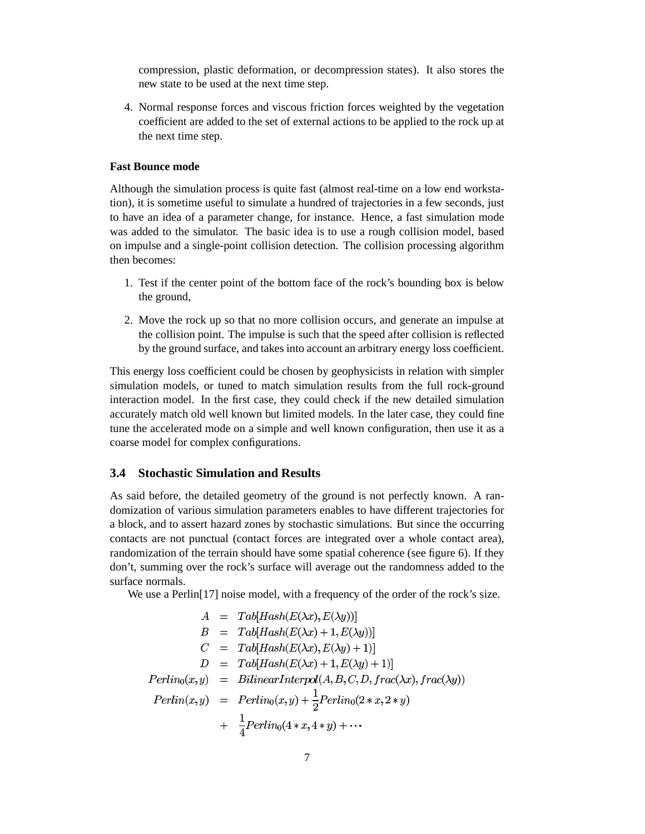compression, plastic deformation, or decompression states). It also stores the new state to be used at the next time step.

4. Normal response forces and viscous friction forces weighted by the vegetation coefficient are added to the set of external actions to be applied to the rock up at the next time step.

#### **Fast Bounce mode**

Although the simulation process is quite fast (almost real-time on a low end workstation), it is sometime useful to simulate a hundred of trajectories in a few seconds, just to have an idea of a parameter change, for instance. Hence, a fast simulation mode was added to the simulator. The basic idea is to use a rough collision model, based on impulse and a single-point collision detection. The collision processing algorithm then becomes:

- 1. Test if the center point of the bottom face of the rock's bounding box is below the ground,
- 2. Move the rock up so that no more collision occurs, and generate an impulse at the collision point. The impulse is such that the speed after collision is reflected by the ground surface, and takes into account an arbitrary energy loss coefficient.

This energy loss coefficient could be chosen by geophysicists in relation with simpler simulation models, or tuned to match simulation results from the full rock-ground interaction model. In the first case, they could check if the new detailed simulation accurately match old well known but limited models. In the later case, they could fine tune the accelerated mode on a simple and well known configuration, then use it as a coarse model for complex configurations.

### **3.4 Stochastic Simulation and Results**

As said before, the detailed geometry of the ground is not perfectly known. A randomization of various simulation parameters enables to have different trajectories for a block, and to assert hazard zones by stochastic simulations. But since the occurring contacts are not punctual (contact forces are integrated over a whole contact area), randomization of the terrain should have some spatial coherence (see figure 6). If they don't, summing over the rock's surface will average out the randomness added to the surface normals.

We use a Perlin<sup>[17]</sup> noise model, with a frequency of the order of the rock's size.

$$
A = Tab[Hash(E(\lambda x), E(\lambda y))]
$$
  
\n
$$
B = Tab[Hash(E(\lambda x) + 1, E(\lambda y))]
$$
  
\n
$$
C = Tab[Hash(E(\lambda x), E(\lambda y) + 1)]
$$
  
\n
$$
D = Tab[Hash(E(\lambda x) + 1, E(\lambda y) + 1)]
$$
  
\n
$$
Perlin(x, y) = BilinearInterpol(A, B, C, D, frac(\lambda x), frac(\lambda y))
$$
  
\n
$$
Perlin(x, y) = Perlin_0(x, y) + \frac{1}{2}Perlin_0(2*x, 2*y)
$$
  
\n
$$
+ \frac{1}{4}Perlin_0(4*x, 4*y) + \cdots
$$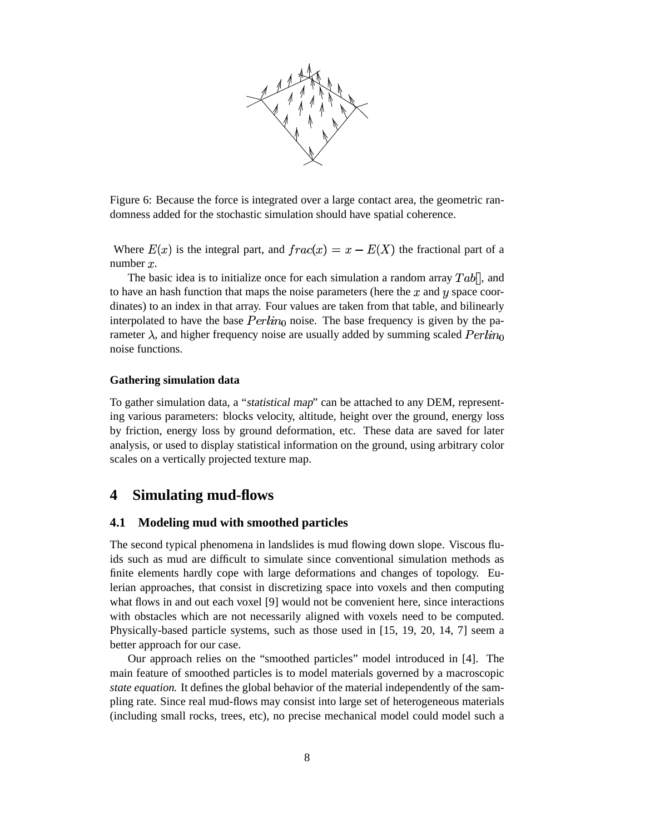

Figure 6: Because the force is integrated over a large contact area, the geometric randomness added for the stochastic simulation should have spatial coherence.

Where  $E(x)$  is the integral part, and  $frac(x) = x - E(X)$  the fractional part of a number  $x$ .

The basic idea is to initialize once for each simulation a random array  $Tab[]$ , and to have an hash function that maps the noise parameters (here the  $x$  and  $y$  space coordinates) to an index in that array. Four values are taken from that table, and bilinearly interpolated to have the base  $Perlin_0$  noise. The base frequency is given by the parameter  $\lambda$ , and higher frequency noise are usually added by summing scaled  $Perlin_0$ noise functions.

#### **Gathering simulation data**

To gather simulation data, a "statistical map" can be attached to any DEM, representing various parameters: blocks velocity, altitude, height over the ground, energy loss by friction, energy loss by ground deformation, etc. These data are saved for later analysis, or used to display statistical information on the ground, using arbitrary color scales on a vertically projected texture map.

## **4 Simulating mud-flows**

#### **4.1 Modeling mud with smoothed particles**

The second typical phenomena in landslides is mud flowing down slope. Viscous fluids such as mud are difficult to simulate since conventional simulation methods as finite elements hardly cope with large deformations and changes of topology. Eulerian approaches, that consist in discretizing space into voxels and then computing what flows in and out each voxel [9] would not be convenient here, since interactions with obstacles which are not necessarily aligned with voxels need to be computed. Physically-based particle systems, such as those used in [15, 19, 20, 14, 7] seem a better approach for our case.

Our approach relies on the "smoothed particles" model introduced in [4]. The main feature of smoothed particles is to model materials governed by a macroscopic *state equation*. It defines the global behavior of the material independently of the sampling rate. Since real mud-flows may consist into large set of heterogeneous materials (including small rocks, trees, etc), no precise mechanical model could model such a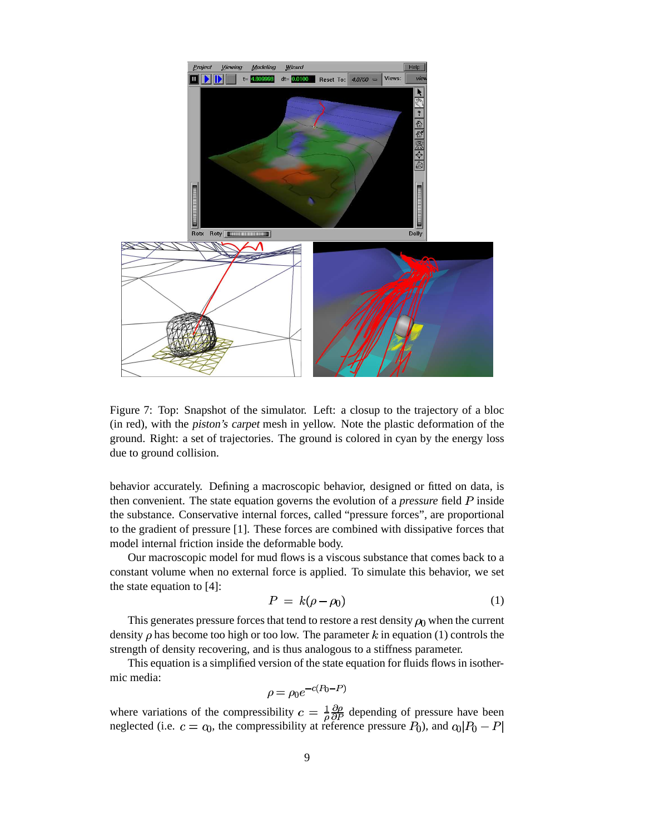

Figure 7: Top: Snapshot of the simulator. Left: a closup to the trajectory of a bloc (in red), with the piston's carpet mesh in yellow. Note the plastic deformation of the ground. Right: a set of trajectories. The ground is colored in cyan by the energy loss due to ground collision.

behavior accurately. Defining a macroscopic behavior, designed or fitted on data, is then convenient. The state equation governs the evolution of a *pressure* field P inside the substance. Conservative internal forces, called "pressure forces", are proportional to the gradient of pressure [1]. These forces are combined with dissipative forces that model internal friction inside the deformable body.

Our macroscopic model for mud flows is a viscous substance that comes back to a constant volume when no external force is applied. To simulate this behavior, we set the state equation to [4]:

$$
P = k(\rho - \rho_0) \tag{1}
$$

This generates pressure forces that tend to restore a rest density  $\rho_0$  when the current density  $\rho$  has become too high or too low. The parameter k in equation (1) controls the strength of density recovering, and is thus analogous to a stiffness parameter.

This equation is a simplified version of the state equation for fluids flows in isothermic media:

$$
\rho = \rho_0 e^{-c(P_0 - P)}
$$

where variations of the compressibility  $c = \frac{1}{\theta} \frac{\partial \rho}{\partial P}$  depending of pressure have been neglected (i.e.  $c = c_0$ , the compressibility at reference pressure  $P_0$ ), and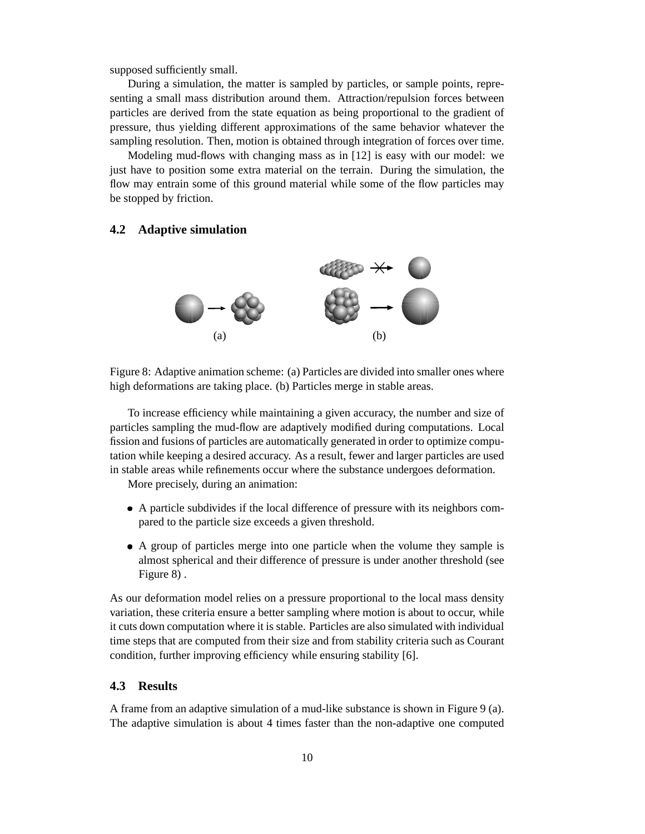supposed sufficiently small.

During a simulation, the matter is sampled by particles, or sample points, representing a small mass distribution around them. Attraction/repulsion forces between particles are derived from the state equation as being proportional to the gradient of pressure, thus yielding different approximations of the same behavior whatever the sampling resolution. Then, motion is obtained through integration of forces over time.

Modeling mud-flows with changing mass as in [12] is easy with our model: we just have to position some extra material on the terrain. During the simulation, the flow may entrain some of this ground material while some of the flow particles may be stopped by friction.

#### **4.2 Adaptive simulation**



Figure 8: Adaptive animation scheme: (a) Particles are divided into smaller ones where high deformations are taking place. (b) Particles merge in stable areas.

To increase efficiency while maintaining a given accuracy, the number and size of particles sampling the mud-flow are adaptively modified during computations. Local fission and fusions of particles are automatically generated in order to optimize computation while keeping a desired accuracy. As a result, fewer and larger particles are used in stable areas while refinements occur where the substance undergoes deformation.

More precisely, during an animation:

- A particle subdivides if the local difference of pressure with its neighbors compared to the particle size exceeds a given threshold.
- A group of particles merge into one particle when the volume they sample is almost spherical and their difference of pressure is under another threshold (see Figure 8) .

As our deformation model relies on a pressure proportional to the local mass density variation, these criteria ensure a better sampling where motion is about to occur, while it cuts down computation where it is stable. Particles are also simulated with individual time steps that are computed from their size and from stability criteria such as Courant condition, further improving efficiency while ensuring stability [6].

#### **4.3 Results**

A frame from an adaptive simulation of a mud-like substance is shown in Figure 9 (a). The adaptive simulation is about 4 times faster than the non-adaptive one computed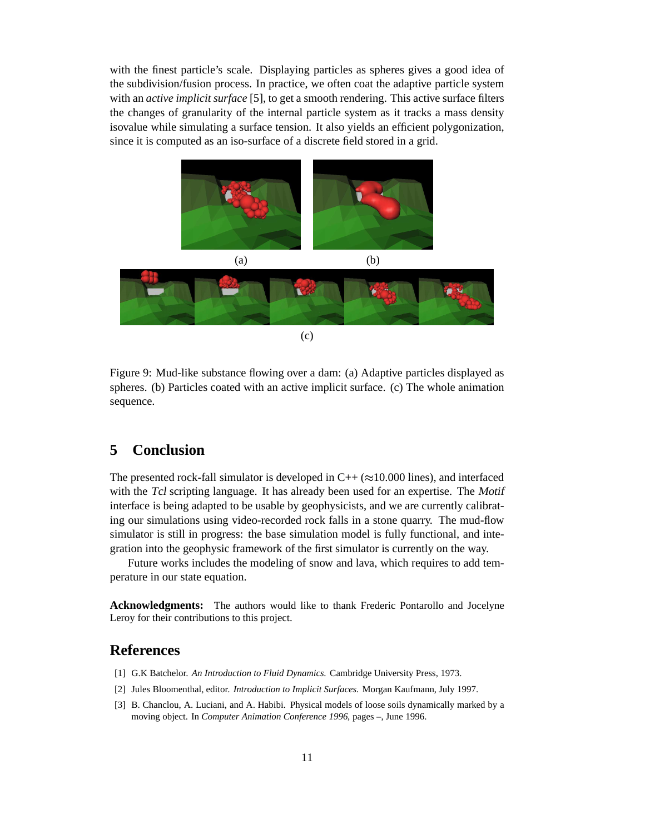with the finest particle's scale. Displaying particles as spheres gives a good idea of the subdivision/fusion process. In practice, we often coat the adaptive particle system with an *active implicit surface* [5], to get a smooth rendering. This active surface filters the changes of granularity of the internal particle system as it tracks a mass density isovalue while simulating a surface tension. It also yields an efficient polygonization, since it is computed as an iso-surface of a discrete field stored in a grid.



Figure 9: Mud-like substance flowing over a dam: (a) Adaptive particles displayed as spheres. (b) Particles coated with an active implicit surface. (c) The whole animation sequence.

# **5 Conclusion**

The presented rock-fall simulator is developed in  $C_{++}$  ( $\approx$ 10.000 lines), and interfaced with the Tcl scripting language. It has already been used for an expertise. The Motif interface is being adapted to be usable by geophysicists, and we are currently calibrating our simulations using video-recorded rock falls in a stone quarry. The mud-flow simulator is still in progress: the base simulation model is fully functional, and integration into the geophysic framework of the first simulator is currently on the way.

Future works includes the modeling of snow and lava, which requires to add temperature in our state equation.

**Acknowledgments:** The authors would like to thank Frederic Pontarollo and Jocelyne Leroy for their contributions to this project.

# **References**

- [1] G.K Batchelor. *An Introduction to Fluid Dynamics*. Cambridge University Press, 1973.
- [2] Jules Bloomenthal, editor. *Introduction to Implicit Surfaces*. Morgan Kaufmann, July 1997.
- [3] B. Chanclou, A. Luciani, and A. Habibi. Physical models of loose soils dynamically marked by a moving object. In *Computer Animation Conference 1996*, pages –, June 1996.